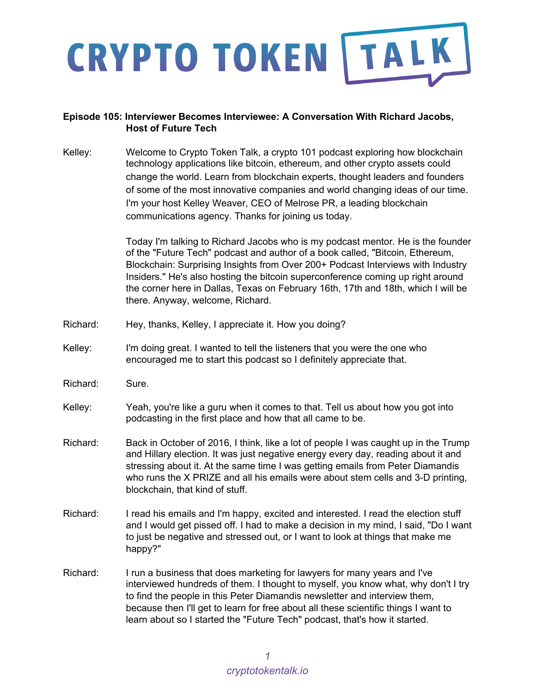

#### **Episode 105: Interviewer Becomes Interviewee: A Conversation With Richard Jacobs, Host of Future Tech**

Kelley: Welcome to Crypto Token Talk, a crypto 101 podcast exploring how blockchain technology applications like bitcoin, ethereum, and other crypto assets could change the world. Learn from blockchain experts, thought leaders and founders of some of the most innovative companies and world changing ideas of our time. I'm your host Kelley Weaver, CEO of Melrose PR, a leading blockchain communications agency. Thanks for joining us today.

> Today I'm talking to Richard Jacobs who is my podcast mentor. He is the founder of the "Future Tech" podcast and author of a book called, "Bitcoin, Ethereum, Blockchain: Surprising Insights from Over 200+ Podcast Interviews with Industry Insiders." He's also hosting the bitcoin superconference coming up right around the corner here in Dallas, Texas on February 16th, 17th and 18th, which I will be there. Anyway, welcome, Richard.

- Richard: Hey, thanks, Kelley, I appreciate it. How you doing?
- Kelley: I'm doing great. I wanted to tell the listeners that you were the one who encouraged me to start this podcast so I definitely appreciate that.
- Richard: Sure.
- Kelley: Yeah, you're like a guru when it comes to that. Tell us about how you got into podcasting in the first place and how that all came to be.
- Richard: Back in October of 2016, I think, like a lot of people I was caught up in the Trump and Hillary election. It was just negative energy every day, reading about it and stressing about it. At the same time I was getting emails from Peter Diamandis who runs the X PRIZE and all his emails were about stem cells and 3-D printing, blockchain, that kind of stuff.
- Richard: I read his emails and I'm happy, excited and interested. I read the election stuff and I would get pissed off. I had to make a decision in my mind, I said, "Do I want to just be negative and stressed out, or I want to look at things that make me happy?"
- Richard: I run a business that does marketing for lawyers for many years and I've interviewed hundreds of them. I thought to myself, you know what, why don't I try to find the people in this Peter Diamandis newsletter and interview them, because then I'll get to learn for free about all these scientific things I want to learn about so I started the "Future Tech" podcast, that's how it started.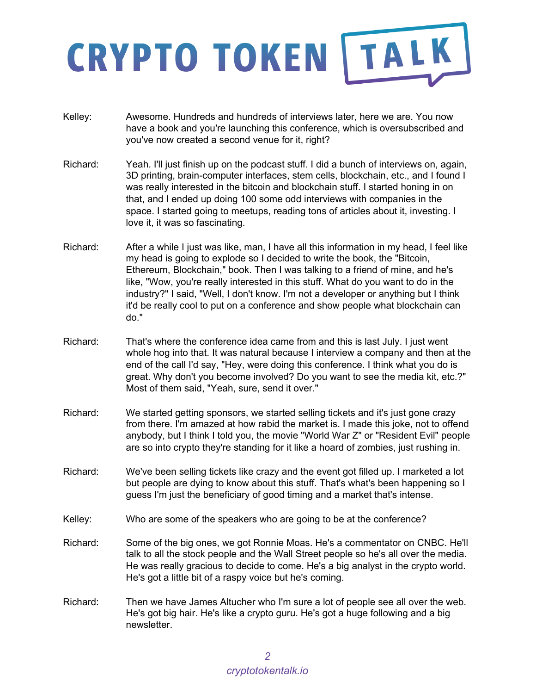- Kelley: Awesome. Hundreds and hundreds of interviews later, here we are. You now have a book and you're launching this conference, which is oversubscribed and you've now created a second venue for it, right?
- Richard: Yeah. I'll just finish up on the podcast stuff. I did a bunch of interviews on, again, 3D printing, brain-computer interfaces, stem cells, blockchain, etc., and I found I was really interested in the bitcoin and blockchain stuff. I started honing in on that, and I ended up doing 100 some odd interviews with companies in the space. I started going to meetups, reading tons of articles about it, investing. I love it, it was so fascinating.
- Richard: After a while I just was like, man, I have all this information in my head, I feel like my head is going to explode so I decided to write the book, the "Bitcoin, Ethereum, Blockchain," book. Then I was talking to a friend of mine, and he's like, "Wow, you're really interested in this stuff. What do you want to do in the industry?" I said, "Well, I don't know. I'm not a developer or anything but I think it'd be really cool to put on a conference and show people what blockchain can do."
- Richard: That's where the conference idea came from and this is last July. I just went whole hog into that. It was natural because I interview a company and then at the end of the call I'd say, "Hey, were doing this conference. I think what you do is great. Why don't you become involved? Do you want to see the media kit, etc.?" Most of them said, "Yeah, sure, send it over."
- Richard: We started getting sponsors, we started selling tickets and it's just gone crazy from there. I'm amazed at how rabid the market is. I made this joke, not to offend anybody, but I think I told you, the movie "World War Z" or "Resident Evil" people are so into crypto they're standing for it like a hoard of zombies, just rushing in.
- Richard: We've been selling tickets like crazy and the event got filled up. I marketed a lot but people are dying to know about this stuff. That's what's been happening so I guess I'm just the beneficiary of good timing and a market that's intense.
- Kelley: Who are some of the speakers who are going to be at the conference?
- Richard: Some of the big ones, we got Ronnie Moas. He's a commentator on CNBC. He'll talk to all the stock people and the Wall Street people so he's all over the media. He was really gracious to decide to come. He's a big analyst in the crypto world. He's got a little bit of a raspy voice but he's coming.
- Richard: Then we have James Altucher who I'm sure a lot of people see all over the web. He's got big hair. He's like a crypto guru. He's got a huge following and a big newsletter.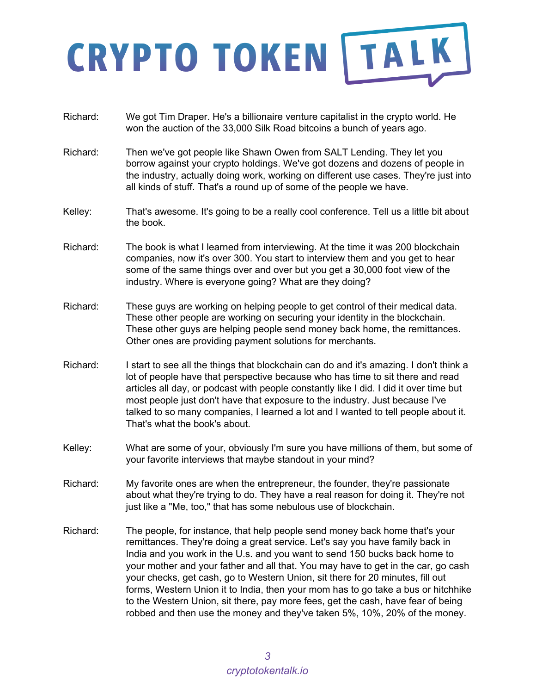- Richard: We got Tim Draper. He's a billionaire venture capitalist in the crypto world. He won the auction of the 33,000 Silk Road bitcoins a bunch of years ago.
- Richard: Then we've got people like Shawn Owen from SALT Lending. They let you borrow against your crypto holdings. We've got dozens and dozens of people in the industry, actually doing work, working on different use cases. They're just into all kinds of stuff. That's a round up of some of the people we have.
- Kelley: That's awesome. It's going to be a really cool conference. Tell us a little bit about the book.
- Richard: The book is what I learned from interviewing. At the time it was 200 blockchain companies, now it's over 300. You start to interview them and you get to hear some of the same things over and over but you get a 30,000 foot view of the industry. Where is everyone going? What are they doing?
- Richard: These guys are working on helping people to get control of their medical data. These other people are working on securing your identity in the blockchain. These other guys are helping people send money back home, the remittances. Other ones are providing payment solutions for merchants.
- Richard: I start to see all the things that blockchain can do and it's amazing. I don't think a lot of people have that perspective because who has time to sit there and read articles all day, or podcast with people constantly like I did. I did it over time but most people just don't have that exposure to the industry. Just because I've talked to so many companies, I learned a lot and I wanted to tell people about it. That's what the book's about.
- Kelley: What are some of your, obviously I'm sure you have millions of them, but some of your favorite interviews that maybe standout in your mind?
- Richard: My favorite ones are when the entrepreneur, the founder, they're passionate about what they're trying to do. They have a real reason for doing it. They're not just like a "Me, too," that has some nebulous use of blockchain.
- Richard: The people, for instance, that help people send money back home that's your remittances. They're doing a great service. Let's say you have family back in India and you work in the U.s. and you want to send 150 bucks back home to your mother and your father and all that. You may have to get in the car, go cash your checks, get cash, go to Western Union, sit there for 20 minutes, fill out forms, Western Union it to India, then your mom has to go take a bus or hitchhike to the Western Union, sit there, pay more fees, get the cash, have fear of being robbed and then use the money and they've taken 5%, 10%, 20% of the money.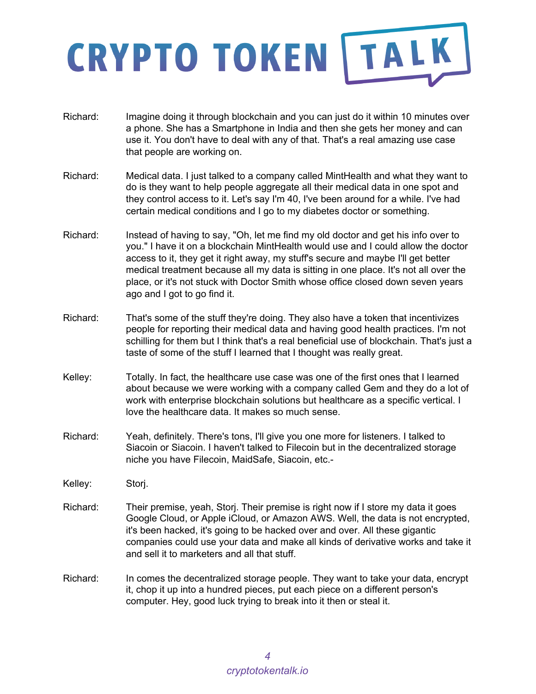- Richard: Imagine doing it through blockchain and you can just do it within 10 minutes over a phone. She has a Smartphone in India and then she gets her money and can use it. You don't have to deal with any of that. That's a real amazing use case that people are working on.
- Richard: Medical data. I just talked to a company called MintHealth and what they want to do is they want to help people aggregate all their medical data in one spot and they control access to it. Let's say I'm 40, I've been around for a while. I've had certain medical conditions and I go to my diabetes doctor or something.
- Richard: Instead of having to say, "Oh, let me find my old doctor and get his info over to you." I have it on a blockchain MintHealth would use and I could allow the doctor access to it, they get it right away, my stuff's secure and maybe I'll get better medical treatment because all my data is sitting in one place. It's not all over the place, or it's not stuck with Doctor Smith whose office closed down seven years ago and I got to go find it.
- Richard: That's some of the stuff they're doing. They also have a token that incentivizes people for reporting their medical data and having good health practices. I'm not schilling for them but I think that's a real beneficial use of blockchain. That's just a taste of some of the stuff I learned that I thought was really great.
- Kelley: Totally. In fact, the healthcare use case was one of the first ones that I learned about because we were working with a company called Gem and they do a lot of work with enterprise blockchain solutions but healthcare as a specific vertical. I love the healthcare data. It makes so much sense.
- Richard: Yeah, definitely. There's tons, I'll give you one more for listeners. I talked to Siacoin or Siacoin. I haven't talked to Filecoin but in the decentralized storage niche you have Filecoin, MaidSafe, Siacoin, etc.-
- Kelley: Storj.
- Richard: Their premise, yeah, Storj. Their premise is right now if I store my data it goes Google Cloud, or Apple iCloud, or Amazon AWS. Well, the data is not encrypted, it's been hacked, it's going to be hacked over and over. All these gigantic companies could use your data and make all kinds of derivative works and take it and sell it to marketers and all that stuff.
- Richard: In comes the decentralized storage people. They want to take your data, encrypt it, chop it up into a hundred pieces, put each piece on a different person's computer. Hey, good luck trying to break into it then or steal it.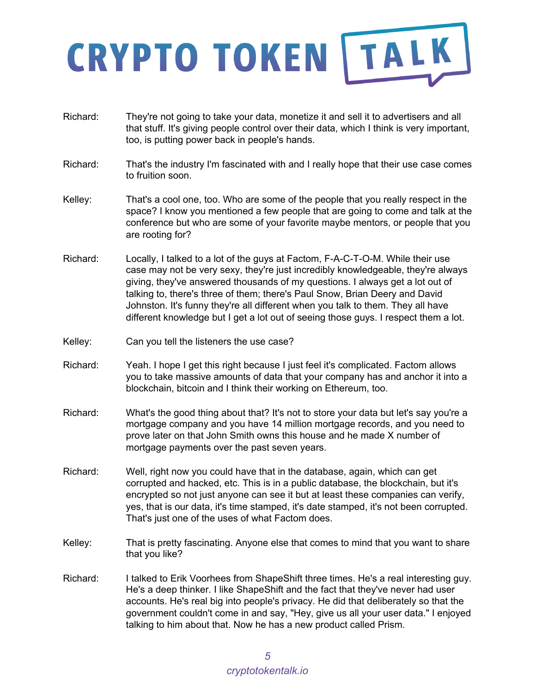- Richard: They're not going to take your data, monetize it and sell it to advertisers and all that stuff. It's giving people control over their data, which I think is very important, too, is putting power back in people's hands.
- Richard: That's the industry I'm fascinated with and I really hope that their use case comes to fruition soon.
- Kelley: That's a cool one, too. Who are some of the people that you really respect in the space? I know you mentioned a few people that are going to come and talk at the conference but who are some of your favorite maybe mentors, or people that you are rooting for?
- Richard: Locally, I talked to a lot of the guys at Factom, F-A-C-T-O-M. While their use case may not be very sexy, they're just incredibly knowledgeable, they're always giving, they've answered thousands of my questions. I always get a lot out of talking to, there's three of them; there's Paul Snow, Brian Deery and David Johnston. It's funny they're all different when you talk to them. They all have different knowledge but I get a lot out of seeing those guys. I respect them a lot.
- Kelley: Can you tell the listeners the use case?
- Richard: Yeah. I hope I get this right because I just feel it's complicated. Factom allows you to take massive amounts of data that your company has and anchor it into a blockchain, bitcoin and I think their working on Ethereum, too.
- Richard: What's the good thing about that? It's not to store your data but let's say you're a mortgage company and you have 14 million mortgage records, and you need to prove later on that John Smith owns this house and he made X number of mortgage payments over the past seven years.
- Richard: Well, right now you could have that in the database, again, which can get corrupted and hacked, etc. This is in a public database, the blockchain, but it's encrypted so not just anyone can see it but at least these companies can verify, yes, that is our data, it's time stamped, it's date stamped, it's not been corrupted. That's just one of the uses of what Factom does.
- Kelley: That is pretty fascinating. Anyone else that comes to mind that you want to share that you like?
- Richard: I talked to Erik Voorhees from ShapeShift three times. He's a real interesting guy. He's a deep thinker. I like ShapeShift and the fact that they've never had user accounts. He's real big into people's privacy. He did that deliberately so that the government couldn't come in and say, "Hey, give us all your user data." I enjoyed talking to him about that. Now he has a new product called Prism.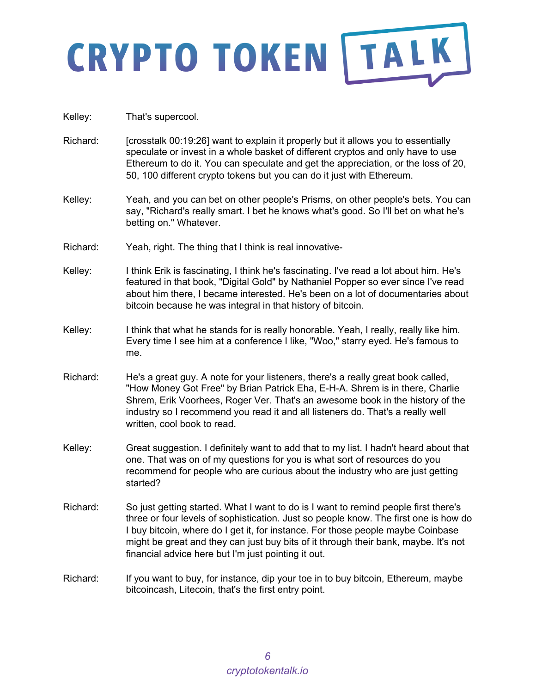- Kelley: That's supercool.
- Richard: [crosstalk 00:19:26] want to explain it properly but it allows you to essentially speculate or invest in a whole basket of different cryptos and only have to use Ethereum to do it. You can speculate and get the appreciation, or the loss of 20, 50, 100 different crypto tokens but you can do it just with Ethereum.
- Kelley: Yeah, and you can bet on other people's Prisms, on other people's bets. You can say, "Richard's really smart. I bet he knows what's good. So I'll bet on what he's betting on." Whatever.
- Richard: Yeah, right. The thing that I think is real innovative-
- Kelley: I think Erik is fascinating, I think he's fascinating. I've read a lot about him. He's featured in that book, "Digital Gold" by Nathaniel Popper so ever since I've read about him there, I became interested. He's been on a lot of documentaries about bitcoin because he was integral in that history of bitcoin.
- Kelley: I think that what he stands for is really honorable. Yeah, I really, really like him. Every time I see him at a conference I like, "Woo," starry eyed. He's famous to me.
- Richard: He's a great guy. A note for your listeners, there's a really great book called, "How Money Got Free" by Brian Patrick Eha, E-H-A. Shrem is in there, Charlie Shrem, Erik Voorhees, Roger Ver. That's an awesome book in the history of the industry so I recommend you read it and all listeners do. That's a really well written, cool book to read.
- Kelley: Great suggestion. I definitely want to add that to my list. I hadn't heard about that one. That was on of my questions for you is what sort of resources do you recommend for people who are curious about the industry who are just getting started?
- Richard: So just getting started. What I want to do is I want to remind people first there's three or four levels of sophistication. Just so people know. The first one is how do I buy bitcoin, where do I get it, for instance. For those people maybe Coinbase might be great and they can just buy bits of it through their bank, maybe. It's not financial advice here but I'm just pointing it out.
- Richard: If you want to buy, for instance, dip your toe in to buy bitcoin, Ethereum, maybe bitcoincash, Litecoin, that's the first entry point.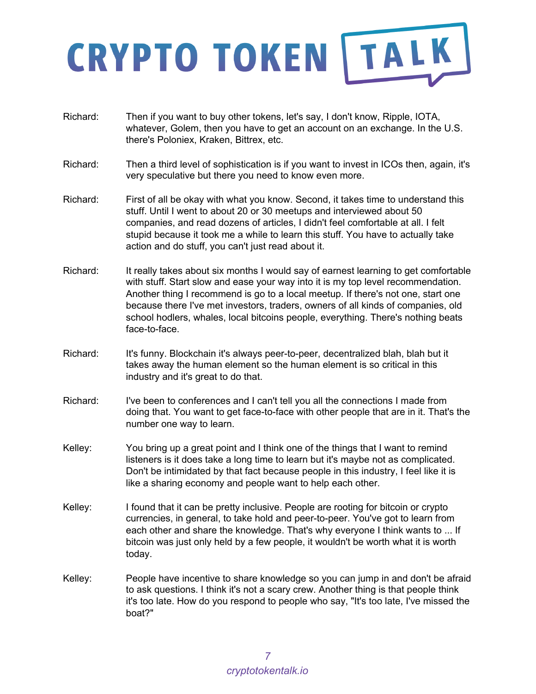- Richard: Then if you want to buy other tokens, let's say, I don't know, Ripple, IOTA, whatever, Golem, then you have to get an account on an exchange. In the U.S. there's Poloniex, Kraken, Bittrex, etc.
- Richard: Then a third level of sophistication is if you want to invest in ICOs then, again, it's very speculative but there you need to know even more.
- Richard: First of all be okay with what you know. Second, it takes time to understand this stuff. Until I went to about 20 or 30 meetups and interviewed about 50 companies, and read dozens of articles, I didn't feel comfortable at all. I felt stupid because it took me a while to learn this stuff. You have to actually take action and do stuff, you can't just read about it.
- Richard: It really takes about six months I would say of earnest learning to get comfortable with stuff. Start slow and ease your way into it is my top level recommendation. Another thing I recommend is go to a local meetup. If there's not one, start one because there I've met investors, traders, owners of all kinds of companies, old school hodlers, whales, local bitcoins people, everything. There's nothing beats face-to-face.
- Richard: It's funny. Blockchain it's always peer-to-peer, decentralized blah, blah but it takes away the human element so the human element is so critical in this industry and it's great to do that.
- Richard: I've been to conferences and I can't tell you all the connections I made from doing that. You want to get face-to-face with other people that are in it. That's the number one way to learn.
- Kelley: You bring up a great point and I think one of the things that I want to remind listeners is it does take a long time to learn but it's maybe not as complicated. Don't be intimidated by that fact because people in this industry, I feel like it is like a sharing economy and people want to help each other.
- Kelley: I found that it can be pretty inclusive. People are rooting for bitcoin or crypto currencies, in general, to take hold and peer-to-peer. You've got to learn from each other and share the knowledge. That's why everyone I think wants to ... If bitcoin was just only held by a few people, it wouldn't be worth what it is worth today.
- Kelley: People have incentive to share knowledge so you can jump in and don't be afraid to ask questions. I think it's not a scary crew. Another thing is that people think it's too late. How do you respond to people who say, "It's too late, I've missed the boat?"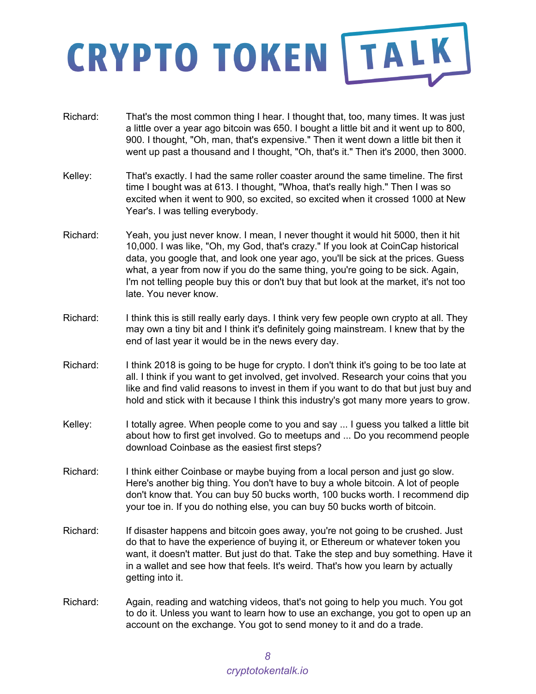- Richard: That's the most common thing I hear. I thought that, too, many times. It was just a little over a year ago bitcoin was 650. I bought a little bit and it went up to 800, 900. I thought, "Oh, man, that's expensive." Then it went down a little bit then it went up past a thousand and I thought, "Oh, that's it." Then it's 2000, then 3000.
- Kelley: That's exactly. I had the same roller coaster around the same timeline. The first time I bought was at 613. I thought, "Whoa, that's really high." Then I was so excited when it went to 900, so excited, so excited when it crossed 1000 at New Year's. I was telling everybody.
- Richard: Yeah, you just never know. I mean, I never thought it would hit 5000, then it hit 10,000. I was like, "Oh, my God, that's crazy." If you look at CoinCap historical data, you google that, and look one year ago, you'll be sick at the prices. Guess what, a year from now if you do the same thing, you're going to be sick. Again, I'm not telling people buy this or don't buy that but look at the market, it's not too late. You never know.
- Richard: I think this is still really early days. I think very few people own crypto at all. They may own a tiny bit and I think it's definitely going mainstream. I knew that by the end of last year it would be in the news every day.
- Richard: I think 2018 is going to be huge for crypto. I don't think it's going to be too late at all. I think if you want to get involved, get involved. Research your coins that you like and find valid reasons to invest in them if you want to do that but just buy and hold and stick with it because I think this industry's got many more years to grow.
- Kelley: I totally agree. When people come to you and say ... I guess you talked a little bit about how to first get involved. Go to meetups and ... Do you recommend people download Coinbase as the easiest first steps?
- Richard: I think either Coinbase or maybe buying from a local person and just go slow. Here's another big thing. You don't have to buy a whole bitcoin. A lot of people don't know that. You can buy 50 bucks worth, 100 bucks worth. I recommend dip your toe in. If you do nothing else, you can buy 50 bucks worth of bitcoin.
- Richard: If disaster happens and bitcoin goes away, you're not going to be crushed. Just do that to have the experience of buying it, or Ethereum or whatever token you want, it doesn't matter. But just do that. Take the step and buy something. Have it in a wallet and see how that feels. It's weird. That's how you learn by actually getting into it.
- Richard: Again, reading and watching videos, that's not going to help you much. You got to do it. Unless you want to learn how to use an exchange, you got to open up an account on the exchange. You got to send money to it and do a trade.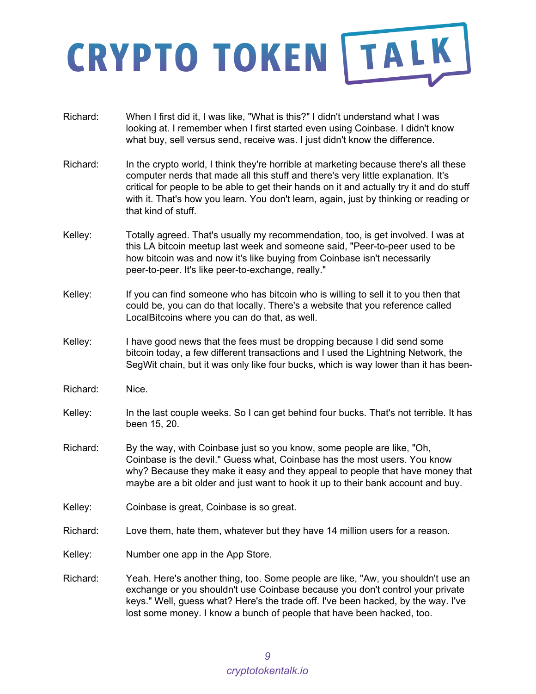- Richard: When I first did it, I was like, "What is this?" I didn't understand what I was looking at. I remember when I first started even using Coinbase. I didn't know what buy, sell versus send, receive was. I just didn't know the difference.
- Richard: In the crypto world, I think they're horrible at marketing because there's all these computer nerds that made all this stuff and there's very little explanation. It's critical for people to be able to get their hands on it and actually try it and do stuff with it. That's how you learn. You don't learn, again, just by thinking or reading or that kind of stuff.
- Kelley: Totally agreed. That's usually my recommendation, too, is get involved. I was at this LA bitcoin meetup last week and someone said, "Peer-to-peer used to be how bitcoin was and now it's like buying from Coinbase isn't necessarily peer-to-peer. It's like peer-to-exchange, really."
- Kelley: If you can find someone who has bitcoin who is willing to sell it to you then that could be, you can do that locally. There's a website that you reference called LocalBitcoins where you can do that, as well.
- Kelley: I have good news that the fees must be dropping because I did send some bitcoin today, a few different transactions and I used the Lightning Network, the SegWit chain, but it was only like four bucks, which is way lower than it has been-
- Richard: Nice.
- Kelley: In the last couple weeks. So I can get behind four bucks. That's not terrible. It has been 15, 20.
- Richard: By the way, with Coinbase just so you know, some people are like, "Oh, Coinbase is the devil." Guess what, Coinbase has the most users. You know why? Because they make it easy and they appeal to people that have money that maybe are a bit older and just want to hook it up to their bank account and buy.
- Kelley: Coinbase is great, Coinbase is so great.
- Richard: Love them, hate them, whatever but they have 14 million users for a reason.
- Kelley: Number one app in the App Store.
- Richard: Yeah. Here's another thing, too. Some people are like, "Aw, you shouldn't use an exchange or you shouldn't use Coinbase because you don't control your private keys." Well, guess what? Here's the trade off. I've been hacked, by the way. I've lost some money. I know a bunch of people that have been hacked, too.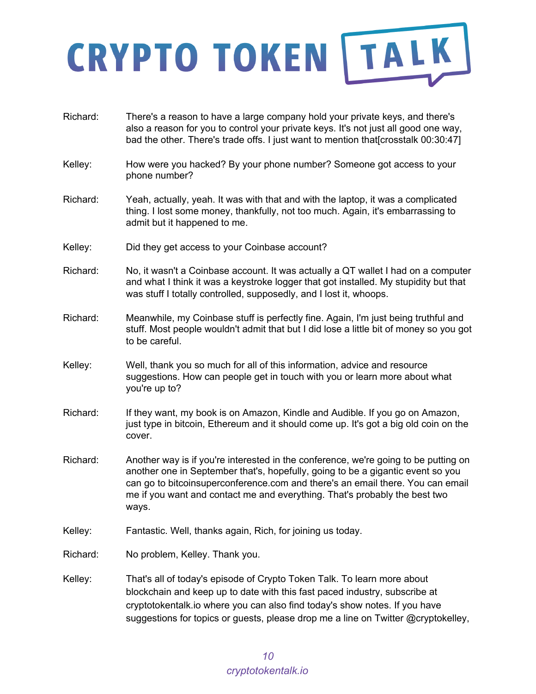Richard: There's a reason to have a large company hold your private keys, and there's also a reason for you to control your private keys. It's not just all good one way, bad the other. There's trade offs. I just want to mention that[crosstalk 00:30:47] Kelley: How were you hacked? By your phone number? Someone got access to your phone number? Richard: Yeah, actually, yeah. It was with that and with the laptop, it was a complicated thing. I lost some money, thankfully, not too much. Again, it's embarrassing to admit but it happened to me. Kelley: Did they get access to your Coinbase account? Richard: No, it wasn't a Coinbase account. It was actually a QT wallet I had on a computer and what I think it was a keystroke logger that got installed. My stupidity but that was stuff I totally controlled, supposedly, and I lost it, whoops. Richard: Meanwhile, my Coinbase stuff is perfectly fine. Again, I'm just being truthful and stuff. Most people wouldn't admit that but I did lose a little bit of money so you got to be careful. Kelley: Well, thank you so much for all of this information, advice and resource suggestions. How can people get in touch with you or learn more about what you're up to? Richard: If they want, my book is on Amazon, Kindle and Audible. If you go on Amazon, just type in bitcoin, Ethereum and it should come up. It's got a big old coin on the cover. Richard: Another way is if you're interested in the conference, we're going to be putting on another one in September that's, hopefully, going to be a gigantic event so you can go to bitcoinsuperconference.com and there's an email there. You can email me if you want and contact me and everything. That's probably the best two ways. Kelley: Fantastic. Well, thanks again, Rich, for joining us today. Richard: No problem, Kelley. Thank you. Kelley: That's all of today's episode of Crypto Token Talk. To learn more about blockchain and keep up to date with this fast paced industry, subscribe at cryptotokentalk.io where you can also find today's show notes. If you have suggestions for topics or guests, please drop me a line on Twitter @cryptokelley,